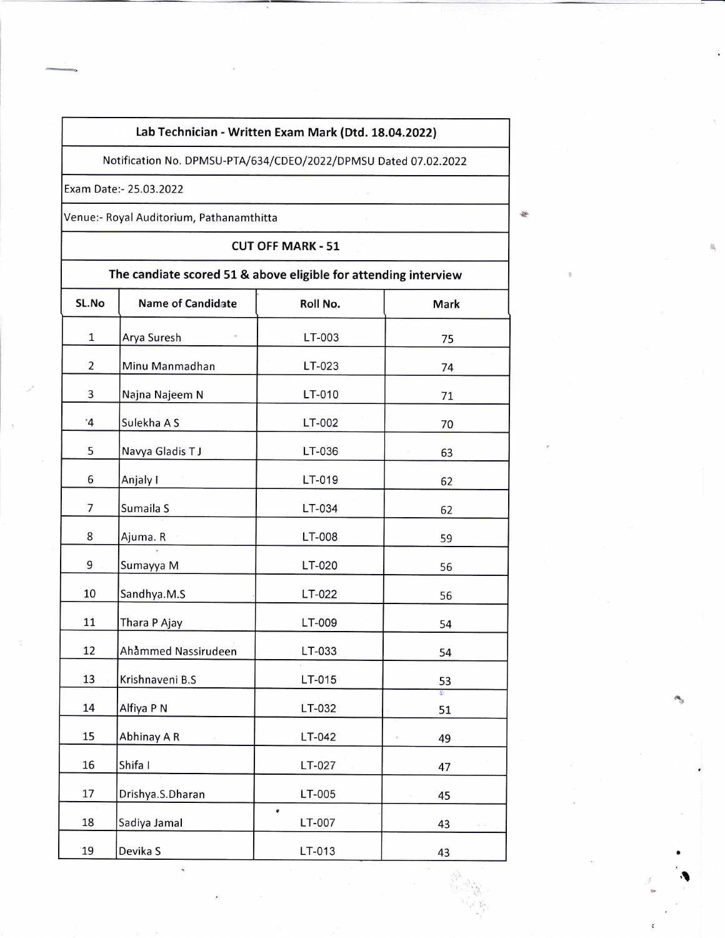## Lab Technician - Written Exam Mark (Dtd. 18.04.2022)

Notification No. DPMSU-PTA/634/CDEO/2022/DPMSU Dated 07.02.2022

Exam Date:- 25.03.2022

Venue:- Royal Auditorium, Pathanamthitta

CUT OFF MARK - 51

| The candiate scored 51 & above eligible for attending interview |                          |                            |                                          |  |
|-----------------------------------------------------------------|--------------------------|----------------------------|------------------------------------------|--|
| SL.No                                                           | <b>Name of Candidate</b> | Roll No.                   | <b>Mark</b>                              |  |
| $\mathbf{1}$                                                    | Arya Suresh              | LT-003                     | 75                                       |  |
| $\overline{2}$                                                  | Minu Manmadhan           | LT-023                     | 74                                       |  |
| 3                                                               | Najna Najeem N           | LT-010                     | 71                                       |  |
| $\cdot$ 4                                                       | Sulekha A S              | LT-002                     | 70                                       |  |
| 5                                                               | Navya Gladis TJ          | LT-036                     | 63                                       |  |
| 6                                                               | Anjaly I                 | LT-019                     | 62                                       |  |
| 7                                                               | Sumaila S                | LT-034                     | 62                                       |  |
| 8                                                               | Ajuma. R                 | LT-008                     | 59                                       |  |
| 9                                                               | Sumayya M                | LT-020                     | 56                                       |  |
| 10                                                              | Sandhya.M.S              | LT-022                     | 56                                       |  |
| 11                                                              | Thara P Ajay             | LT-009                     | 54                                       |  |
| 12                                                              | Ahåmmed Nassirudeen      | LT-033                     | 54                                       |  |
| 13                                                              | Krishnaveni B.S          | LT-015                     | 53                                       |  |
| 14                                                              | Alfiya P N               | LT-032                     | 51                                       |  |
| 15                                                              | Abhinay A R              | LT-042                     | 49                                       |  |
| 16                                                              | Shifa I                  | LT-027                     | 47                                       |  |
| 17                                                              | Drishya.S.Dharan         | LT-005                     | 45                                       |  |
| 18                                                              | Sadiya Jamal             | $\pmb{\epsilon}$<br>LT-007 | 43<br>$\mathbb{R}^n \times \mathbb{R}^n$ |  |
| 19                                                              | Devika S                 | LT-013                     | 43                                       |  |

ab.

\$